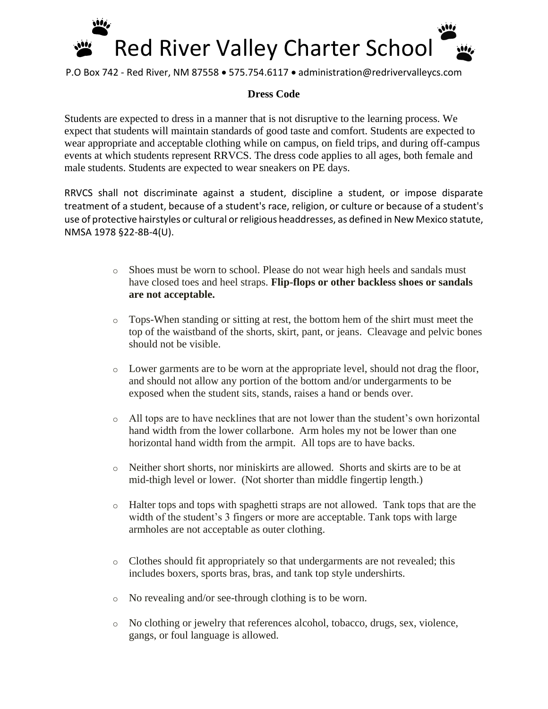

P.O Box 742 - Red River, NM 87558 • 575.754.6117 • administration@redrivervalleycs.com

## **Dress Code**

Students are expected to dress in a manner that is not disruptive to the learning process. We expect that students will maintain standards of good taste and comfort. Students are expected to wear appropriate and acceptable clothing while on campus, on field trips, and during off-campus events at which students represent RRVCS. The dress code applies to all ages, both female and male students. Students are expected to wear sneakers on PE days.

RRVCS shall not discriminate against a student, discipline a student, or impose disparate treatment of a student, because of a student's race, religion, or culture or because of a student's use of protective hairstyles or cultural or religious headdresses, as defined in New Mexico statute, NMSA 1978 §22-8B-4(U).

- o Shoes must be worn to school. Please do not wear high heels and sandals must have closed toes and heel straps. **Flip-flops or other backless shoes or sandals are not acceptable.**
- o Tops-When standing or sitting at rest, the bottom hem of the shirt must meet the top of the waistband of the shorts, skirt, pant, or jeans. Cleavage and pelvic bones should not be visible.
- o Lower garments are to be worn at the appropriate level, should not drag the floor, and should not allow any portion of the bottom and/or undergarments to be exposed when the student sits, stands, raises a hand or bends over.
- o All tops are to have necklines that are not lower than the student's own horizontal hand width from the lower collarbone. Arm holes my not be lower than one horizontal hand width from the armpit. All tops are to have backs.
- o Neither short shorts, nor miniskirts are allowed. Shorts and skirts are to be at mid-thigh level or lower. (Not shorter than middle fingertip length.)
- o Halter tops and tops with spaghetti straps are not allowed. Tank tops that are the width of the student's 3 fingers or more are acceptable. Tank tops with large armholes are not acceptable as outer clothing.
- o Clothes should fit appropriately so that undergarments are not revealed; this includes boxers, sports bras, bras, and tank top style undershirts.
- o No revealing and/or see-through clothing is to be worn.
- o No clothing or jewelry that references alcohol, tobacco, drugs, sex, violence, gangs, or foul language is allowed.